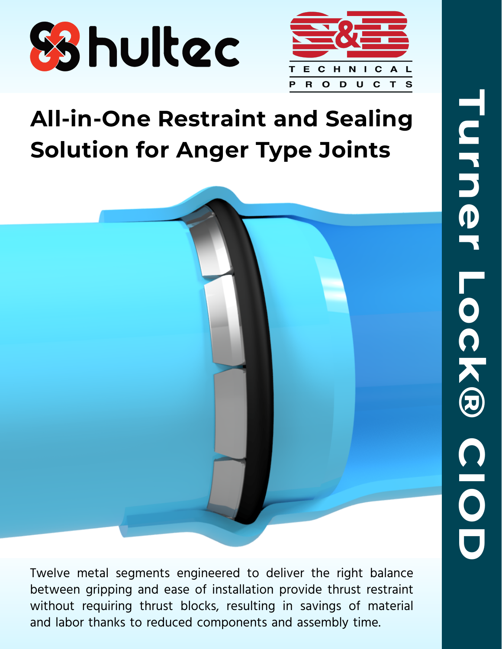



# **All-in-One Restraint and Sealing Solution for Anger Type Joints**



Twelve metal segments engineered to deliver the right balance between gripping and ease of installation provide thrust restraint without requiring thrust blocks, resulting in savings of material and labor thanks to reduced components and assembly time.